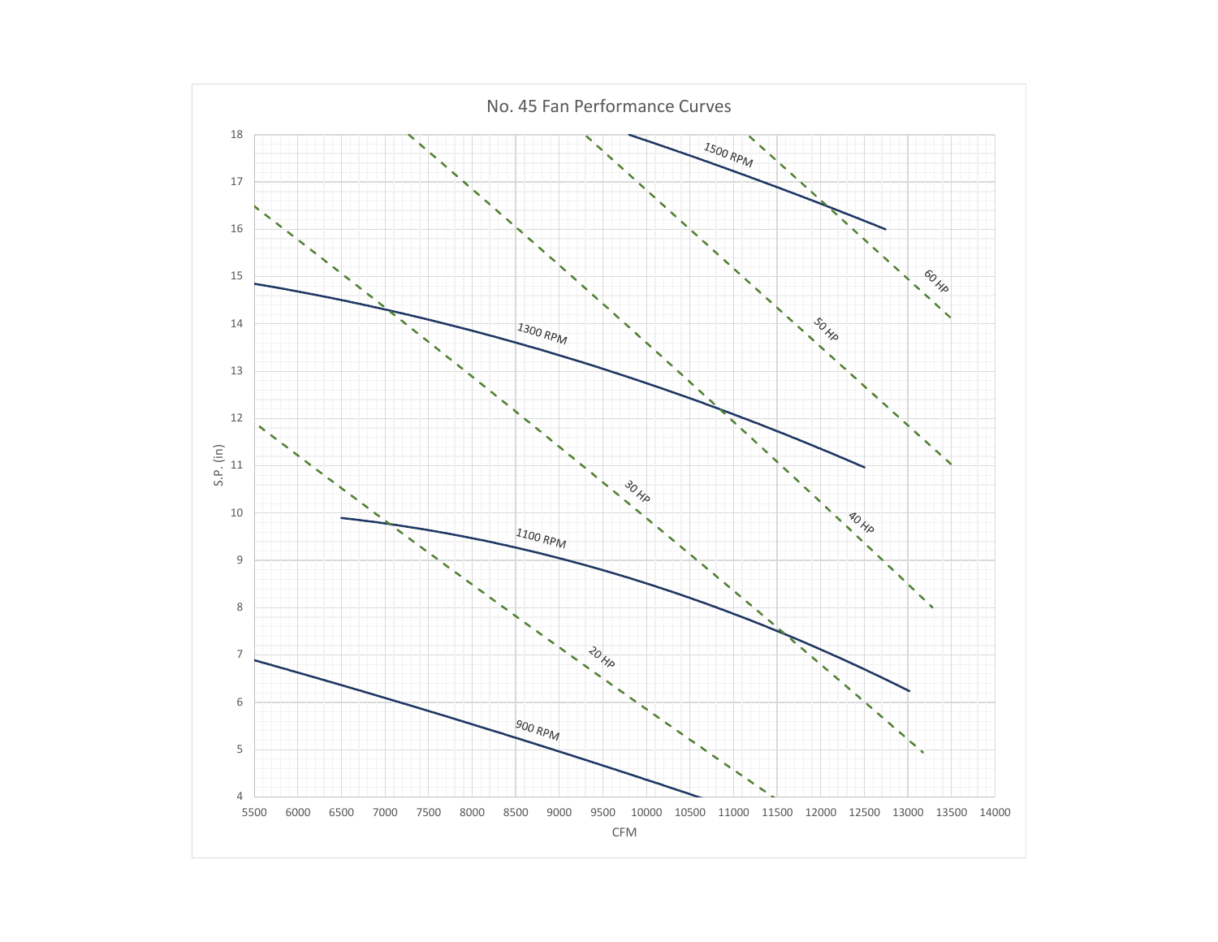